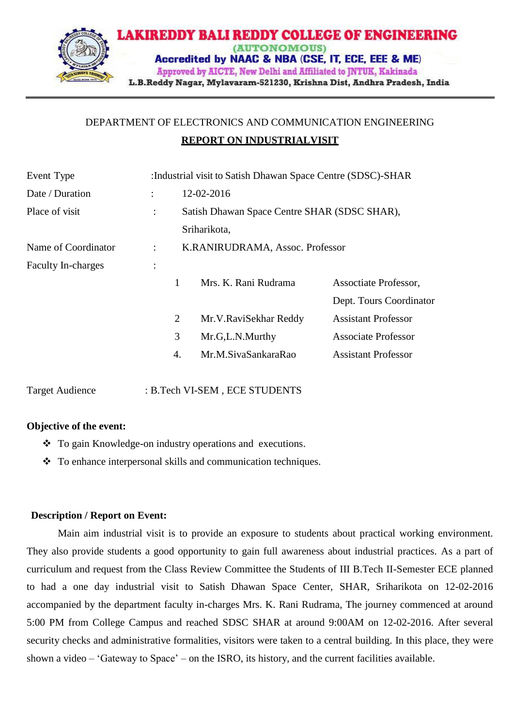

## DEPARTMENT OF ELECTRONICS AND COMMUNICATION ENGINEERING **REPORT ON INDUSTRIALVISIT**

| Event Type                | : Industrial visit to Satish Dhawan Space Centre (SDSC)-SHAR |                                              |                       |                            |
|---------------------------|--------------------------------------------------------------|----------------------------------------------|-----------------------|----------------------------|
| Date / Duration           |                                                              |                                              | 12-02-2016            |                            |
| Place of visit            | $\ddot{\cdot}$                                               | Satish Dhawan Space Centre SHAR (SDSC SHAR), |                       |                            |
|                           |                                                              |                                              | Sriharikota,          |                            |
| Name of Coordinator       | K.RANIRUDRAMA, Assoc. Professor<br>÷                         |                                              |                       |                            |
| <b>Faculty In-charges</b> | $\ddot{\cdot}$                                               |                                              |                       |                            |
|                           |                                                              | 1                                            | Mrs. K. Rani Rudrama  | Assoctiate Professor,      |
|                           |                                                              |                                              |                       | Dept. Tours Coordinator    |
|                           |                                                              | $\overline{2}$                               | Mr.V.RaviSekhar Reddy | <b>Assistant Professor</b> |
|                           |                                                              | 3                                            | Mr.G,L.N.Murthy       | <b>Associate Professor</b> |
|                           |                                                              | 4.                                           | Mr.M.SivaSankaraRao   | <b>Assistant Professor</b> |
|                           |                                                              |                                              |                       |                            |

Target Audience : B.Tech VI-SEM, ECE STUDENTS

## **Objective of the event:**

- To gain Knowledge-on industry operations and executions.
- To enhance interpersonal skills and communication techniques.

## **Description / Report on Event:**

Main aim industrial visit is to provide an exposure to students about practical working environment. They also provide students a good opportunity to gain full awareness about industrial practices. As a part of curriculum and request from the Class Review Committee the Students of III B.Tech II-Semester ECE planned to had a one day industrial visit to Satish Dhawan Space Center, SHAR, Sriharikota on 12-02-2016 accompanied by the department faculty in-charges Mrs. K. Rani Rudrama, The journey commenced at around 5:00 PM from College Campus and reached SDSC SHAR at around 9:00AM on 12-02-2016. After several security checks and administrative formalities, visitors were taken to a central building. In this place, they were shown a video – 'Gateway to Space' – on the ISRO, its history, and the current facilities available.